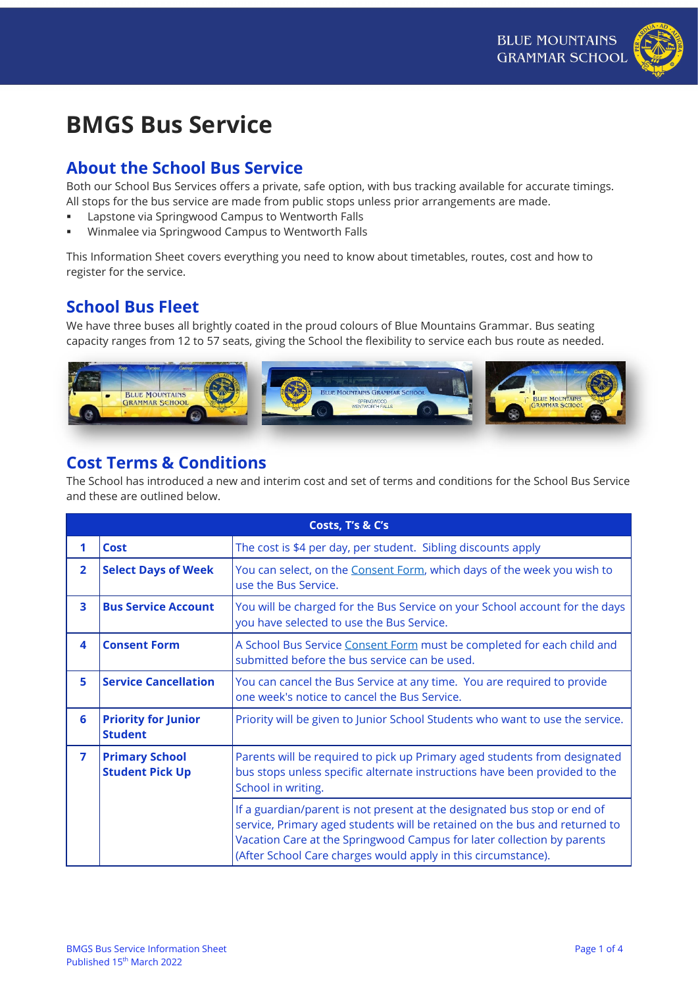# **BMGS Bus Service**

#### **About the School Bus Service**

Both our School Bus Services offers a private, safe option, with bus tracking available for accurate timings. All stops for the bus service are made from public stops unless prior arrangements are made.

- **EXEC** Lapstone via Springwood Campus to Wentworth Falls
- Winmalee via Springwood Campus to Wentworth Falls

This Information Sheet covers everything you need to know about timetables, routes, cost and how to register for the service.

#### **School Bus Fleet**

We have three buses all brightly coated in the proud colours of Blue Mountains Grammar. Bus seating capacity ranges from 12 to 57 seats, giving the School the flexibility to service each bus route as needed.



### **Cost Terms & Conditions**

The School has introduced a new and interim cost and set of terms and conditions for the School Bus Service and these are outlined below.

|                |                                                 | Costs, T's & C's                                                                                                                                                                                                                                                                                  |
|----------------|-------------------------------------------------|---------------------------------------------------------------------------------------------------------------------------------------------------------------------------------------------------------------------------------------------------------------------------------------------------|
|                | <b>Cost</b>                                     | The cost is \$4 per day, per student. Sibling discounts apply                                                                                                                                                                                                                                     |
| $\overline{2}$ | <b>Select Days of Week</b>                      | You can select, on the Consent Form, which days of the week you wish to<br>use the Bus Service.                                                                                                                                                                                                   |
| 3              | <b>Bus Service Account</b>                      | You will be charged for the Bus Service on your School account for the days<br>you have selected to use the Bus Service.                                                                                                                                                                          |
| 4              | <b>Consent Form</b>                             | A School Bus Service Consent Form must be completed for each child and<br>submitted before the bus service can be used.                                                                                                                                                                           |
| 5              | <b>Service Cancellation</b>                     | You can cancel the Bus Service at any time. You are required to provide<br>one week's notice to cancel the Bus Service.                                                                                                                                                                           |
| 6              | <b>Priority for Junior</b><br><b>Student</b>    | Priority will be given to Junior School Students who want to use the service.                                                                                                                                                                                                                     |
| 7              | <b>Primary School</b><br><b>Student Pick Up</b> | Parents will be required to pick up Primary aged students from designated<br>bus stops unless specific alternate instructions have been provided to the<br>School in writing.                                                                                                                     |
|                |                                                 | If a guardian/parent is not present at the designated bus stop or end of<br>service, Primary aged students will be retained on the bus and returned to<br>Vacation Care at the Springwood Campus for later collection by parents<br>(After School Care charges would apply in this circumstance). |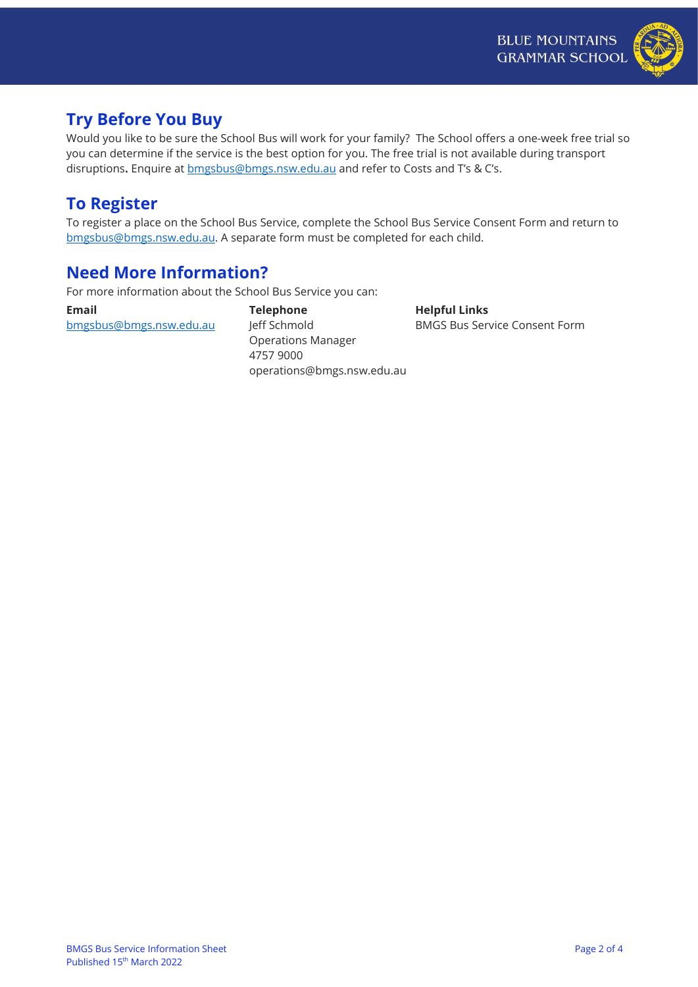

### **Try Before You Buy**

Would you like to be sure the School Bus will work for your family? The School offers a one-week free trial so you can determine if the service is the best option for you. The free trial is not available during transport disruptions**.** Enquire at [bmgsbus@bmgs.nsw.edu.au](mailto:bmgsbus@bmgs.nsw.edu.au) and refer to Costs and T's & C's.

### **To Register**

To register a place on the School Bus Service, complete the School Bus Service Consent Form and return to [bmgsbus@bmgs.nsw.edu.au.](mailto:bmgsbus@bmgs.nsw.edu.au) A separate form must be completed for each child.

#### **Need More Information?**

For more information about the School Bus Service you can:

**Email** [bmgsbus@bmgs.nsw.edu.au](mailto:bmgsbus@bmgs.nsw.edu.au) **Telephone** Jeff Schmold Operations Manager 4757 9000 operations@bmgs.nsw.edu.au **Helpful Links** BMGS Bus Service Consent Form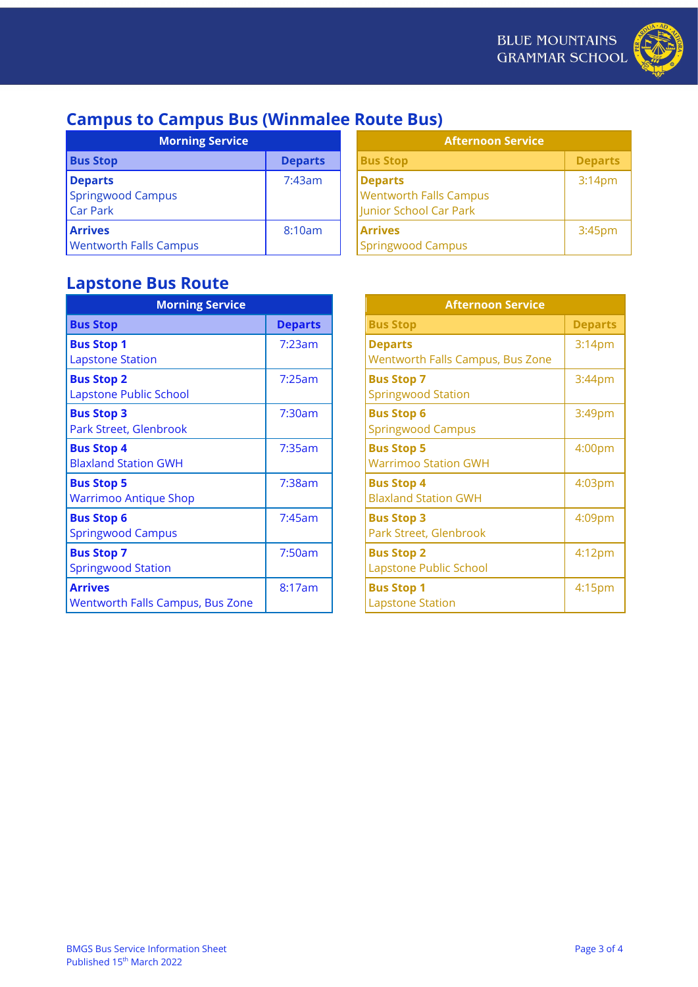

# **Campus to Campus Bus (Winmalee Route Bus)**

| <b>Morning Service</b>                                 |                | <b>Afternoon Service</b>                                                  |  |
|--------------------------------------------------------|----------------|---------------------------------------------------------------------------|--|
| <b>Bus Stop</b>                                        | <b>Departs</b> | <b>Bus Stop</b>                                                           |  |
| <b>Departs</b><br>Springwood Campus<br><b>Car Park</b> | 7:43am         | <b>Departs</b><br><b>Wentworth Falls Campus</b><br>Junior School Car Park |  |
| <b>Arrives</b><br><b>Wentworth Falls Campus</b>        | 8:10am         | <b>Arrives</b><br><b>Springwood Campus</b>                                |  |

| <b>Morning Service</b> |                | <b>Afternoon Service</b>                                                  |                    |
|------------------------|----------------|---------------------------------------------------------------------------|--------------------|
|                        | <b>Departs</b> | <b>Bus Stop</b>                                                           | <b>Departs</b>     |
| pus                    | 7:43am         | <b>Departs</b><br><b>Wentworth Falls Campus</b><br>Junior School Car Park | 3:14 <sub>pm</sub> |
| Campus                 | 8:10am         | <b>Arrives</b><br>Springwood Campus                                       | 3:45 <sub>pm</sub> |

## **Lapstone Bus Route**

| <b>Departs</b> |  |
|----------------|--|
| 7:23am         |  |
| 7:25am         |  |
| 7:30am         |  |
| 7:35am         |  |
| 7:38am         |  |
| 7:45am         |  |
| 7:50am         |  |
| 8:17am         |  |
|                |  |

| <b>Morning Service</b> |                |                                                    | <b>Afternoon Service</b> |
|------------------------|----------------|----------------------------------------------------|--------------------------|
|                        | <b>Departs</b> | <b>Bus Stop</b>                                    | <b>Departs</b>           |
|                        | 7:23am         | <b>Departs</b><br>Wentworth Falls Campus, Bus Zone | 3:14 <sub>pm</sub>       |
| School                 | 7:25am         | <b>Bus Stop 7</b><br><b>Springwood Station</b>     | 3:44pm                   |
| brook                  | 7:30am         | <b>Bus Stop 6</b><br><b>Springwood Campus</b>      | 3:49pm                   |
| <b>GWH</b>             | 7:35am         | <b>Bus Stop 5</b><br><b>Warrimoo Station GWH</b>   | 4:00pm                   |
| Je Shop                | 7:38am         | <b>Bus Stop 4</b><br><b>Blaxland Station GWH</b>   | 4:03pm                   |
| <b>pus</b>             | 7:45am         | <b>Bus Stop 3</b><br>Park Street, Glenbrook        | 4:09pm                   |
| ion                    | 7:50am         | <b>Bus Stop 2</b><br>Lapstone Public School        | 4:12 <sub>pm</sub>       |
| Campus, Bus Zone       | 8:17am         | <b>Bus Stop 1</b><br><b>Lapstone Station</b>       | 4:15 <sub>pm</sub>       |